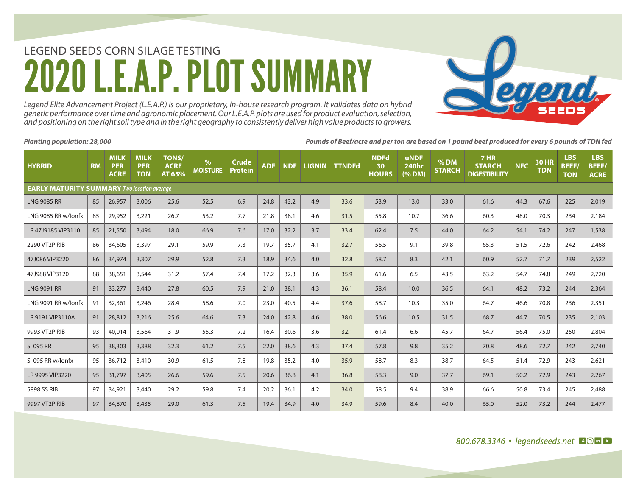# LEGEND SEEDS CORN SILAGE TESTING A.P. PLOT SUMM

*Legend Elite Advancement Project (L.E.A.P.) is our proprietary, in-house research program. It validates data on hybrid genetic performance over time and agronomic placement. Our L.E.A.P. plots are used for product evaluation, selection, and positioning on the right soil type and in the right geography to consistently deliver high value products to growers.* 

*Planting population: 28,000 Pounds of Beef/acre and per ton are based on 1 pound beef produced for every 6 pounds of TDN fed* 

| <b>HYBRID</b>                                      | <b>RM</b> | <b>MILK</b><br><b>PER</b><br><b>ACRE</b> | <b>MILK</b><br><b>PER</b><br><b>TON</b> | <b>TONS/</b><br><b>ACRE</b><br>AT 65% | $\frac{9}{6}$<br><b>MOISTURE</b> | <b>Crude</b><br><b>Protein</b> | <b>ADF</b> | NDF <sup>'</sup> | <b>LIGNIN</b> | <b>TTNDFd</b> | <b>NDFd</b><br>30<br><b>HOURS</b> | <b>uNDF</b><br><b>240hr</b><br>(% DM) | % DM<br><b>STARCH</b> | 7 HR<br><b>STARCH</b><br><b>DIGESTIBILITY</b> | <b>NFC</b> | <b>30 HR</b><br><b>TDN</b> | <b>LBS</b><br><b>BEEF</b><br><b>TON</b> | <b>LBS</b><br><b>BEEF/</b><br><b>ACRE</b> |
|----------------------------------------------------|-----------|------------------------------------------|-----------------------------------------|---------------------------------------|----------------------------------|--------------------------------|------------|------------------|---------------|---------------|-----------------------------------|---------------------------------------|-----------------------|-----------------------------------------------|------------|----------------------------|-----------------------------------------|-------------------------------------------|
| <b>EARLY MATURITY SUMMARY Two location average</b> |           |                                          |                                         |                                       |                                  |                                |            |                  |               |               |                                   |                                       |                       |                                               |            |                            |                                         |                                           |
| <b>LNG 9085 RR</b>                                 | 85        | 26,957                                   | 3,006                                   | 25.6                                  | 52.5                             | 6.9                            | 24.8       | 43.2             | 4.9           | 33.6          | 53.9                              | 13.0                                  | 33.0                  | 61.6                                          | 44.3       | 67.6                       | 225                                     | 2,019                                     |
| LNG 9085 RR w/lonfx                                | 85        | 29,952                                   | 3,221                                   | 26.7                                  | 53.2                             | 7.7                            | 21.8       | 38.1             | 4.6           | 31.5          | 55.8                              | 10.7                                  | 36.6                  | 60.3                                          | 48.0       | 70.3                       | 234                                     | 2,184                                     |
| LR 47J9185 VIP3110                                 | 85        | 21,550                                   | 3,494                                   | 18.0                                  | 66.9                             | 7.6                            | 17.0       | 32.2             | 3.7           | 33.4          | 62.4                              | 7.5                                   | 44.0                  | 64.2                                          | 54.1       | 74.2                       | 247                                     | 1,538                                     |
| 2290 VT2P RIB                                      | 86        | 34,605                                   | 3,397                                   | 29.1                                  | 59.9                             | 7.3                            | 19.7       | 35.7             | 4.1           | 32.7          | 56.5                              | 9.1                                   | 39.8                  | 65.3                                          | 51.5       | 72.6                       | 242                                     | 2,468                                     |
| 47J086 VIP3220                                     | 86        | 34,974                                   | 3,307                                   | 29.9                                  | 52.8                             | 7.3                            | 18.9       | 34.6             | 4.0           | 32.8          | 58.7                              | 8.3                                   | 42.1                  | 60.9                                          | 52.7       | 71.7                       | 239                                     | 2,522                                     |
| 47J988 VIP3120                                     | 88        | 38,651                                   | 3,544                                   | 31.2                                  | 57.4                             | 7.4                            | 17.2       | 32.3             | 3.6           | 35.9          | 61.6                              | 6.5                                   | 43.5                  | 63.2                                          | 54.7       | 74.8                       | 249                                     | 2,720                                     |
| <b>LNG 9091 RR</b>                                 | 91        | 33,277                                   | 3,440                                   | 27.8                                  | 60.5                             | 7.9                            | 21.0       | 38.1             | 4.3           | 36.1          | 58.4                              | 10.0                                  | 36.5                  | 64.1                                          | 48.2       | 73.2                       | 244                                     | 2,364                                     |
| LNG 9091 RR w/lonfx                                | 91        | 32,361                                   | 3,246                                   | 28.4                                  | 58.6                             | 7.0                            | 23.0       | 40.5             | 4.4           | 37.6          | 58.7                              | 10.3                                  | 35.0                  | 64.7                                          | 46.6       | 70.8                       | 236                                     | 2,351                                     |
| LR 9191 VIP3110A                                   | 91        | 28,812                                   | 3,216                                   | 25.6                                  | 64.6                             | 7.3                            | 24.0       | 42.8             | 4.6           | 38.0          | 56.6                              | 10.5                                  | 31.5                  | 68.7                                          | 44.7       | 70.5                       | 235                                     | 2,103                                     |
| 9993 VT2P RIB                                      | 93        | 40,014                                   | 3,564                                   | 31.9                                  | 55.3                             | 7.2                            | 16.4       | 30.6             | 3.6           | 32.1          | 61.4                              | 6.6                                   | 45.7                  | 64.7                                          | 56.4       | 75.0                       | 250                                     | 2,804                                     |
| <b>SI 095 RR</b>                                   | 95        | 38,303                                   | 3,388                                   | 32.3                                  | 61.2                             | 7.5                            | 22.0       | 38.6             | 4.3           | 37.4          | 57.8                              | 9.8                                   | 35.2                  | 70.8                                          | 48.6       | 72.7                       | 242                                     | 2,740                                     |
| SI 095 RR w/lonfx                                  | 95        | 36,712                                   | 3,410                                   | 30.9                                  | 61.5                             | 7.8                            | 19.8       | 35.2             | 4.0           | 35.9          | 58.7                              | 8.3                                   | 38.7                  | 64.5                                          | 51.4       | 72.9                       | 243                                     | 2,621                                     |
| LR 9995 VIP3220                                    | 95        | 31,797                                   | 3,405                                   | 26.6                                  | 59.6                             | 7.5                            | 20.6       | 36.8             | 4.1           | 36.8          | 58.3                              | 9.0                                   | 37.7                  | 69.1                                          | 50.2       | 72.9                       | 243                                     | 2,267                                     |
| 5898 SS RIB                                        | 97        | 34,921                                   | 3,440                                   | 29.2                                  | 59.8                             | 7.4                            | 20.2       | 36.1             | 4.2           | 34.0          | 58.5                              | 9.4                                   | 38.9                  | 66.6                                          | 50.8       | 73.4                       | 245                                     | 2,488                                     |
| 9997 VT2P RIB                                      | 97        | 34,870                                   | 3,435                                   | 29.0                                  | 61.3                             | 7.5                            | 19.4       | 34.9             | 4.0           | 34.9          | 59.6                              | 8.4                                   | 40.0                  | 65.0                                          | 52.0       | 73.2                       | 244                                     | 2,477                                     |

800.678.3346 · legendseeds.net 10 h

**Subuch**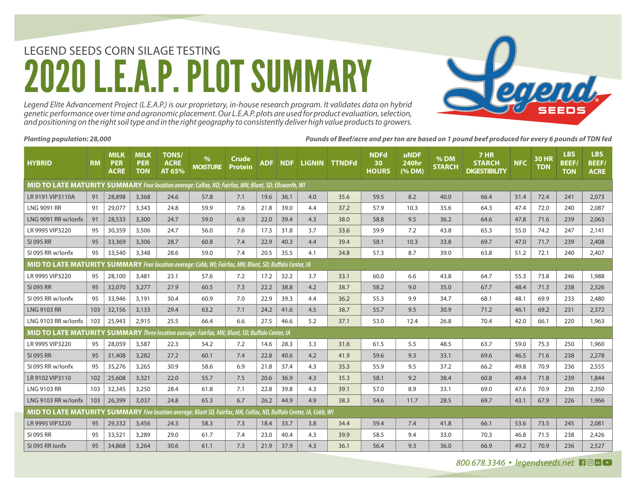# LEGEND SEEDS CORN SILAGE TESTING **A.P. PLOT SUMM**

*Legend Elite Advancement Project (L.E.A.P.) is our proprietary, in-house research program. It validates data on hybrid genetic performance over time and agronomic placement. Our L.E.A.P. plots are used for product evaluation, selection, and positioning on the right soil type and in the right geography to consistently deliver high value products to growers.* 

*Planting population: 28,000 Pounds of Beef/acre and per ton are based on 1 pound beef produced for every 6 pounds of TDN fed* 

| <b>HYBRID</b>                                                                                                | <b>RM</b>                                                                                                           | <b>MILK</b><br><b>PER</b><br><b>ACRE</b> | <b>MILK</b><br><b>PER</b><br><b>TON</b> | <b>TONS/</b><br><b>ACRE</b><br>AT 65% | $\%$<br><b>MOISTURE</b> | Crude<br><b>Protein</b> | <b>ADF</b> | <b>NDF</b> |     | LIGNIN TTNDFd | <b>NDFd</b><br>30 <sup>°</sup><br><b>HOURS</b> | <b>uNDF</b><br><b>240hr</b><br>(% DM) | $%$ DM<br><b>STARCH</b> | <b>7 HR</b><br><b>STARCH</b><br><b>DIGESTIBILITY</b> | <b>NFC</b> | <b>30 HR</b><br><b>TDN</b> | <b>LBS</b><br><b>BEEF</b><br><b>TON</b> | <b>LBS</b><br><b>BEEF/</b><br><b>ACRE</b> |
|--------------------------------------------------------------------------------------------------------------|---------------------------------------------------------------------------------------------------------------------|------------------------------------------|-----------------------------------------|---------------------------------------|-------------------------|-------------------------|------------|------------|-----|---------------|------------------------------------------------|---------------------------------------|-------------------------|------------------------------------------------------|------------|----------------------------|-----------------------------------------|-------------------------------------------|
| <b>MID TO LATE MATURITY SUMMARY</b> Four location average: Colfax, ND; Fairfax, MN; Blunt, SD; Ellsworth, WI |                                                                                                                     |                                          |                                         |                                       |                         |                         |            |            |     |               |                                                |                                       |                         |                                                      |            |                            |                                         |                                           |
| LR 9191 VIP3110A                                                                                             | 91                                                                                                                  | 28,898                                   | 3,368                                   | 24.6                                  | 57.8                    | 7.1                     | 19.6       | 36.1       | 4.0 | 35.6          | 59.5                                           | 8.2                                   | 40.0                    | 66.4                                                 | 51.4       | 72.4                       | 241                                     | 2,073                                     |
| <b>LNG 9091 RR</b>                                                                                           | 91                                                                                                                  | 29,077                                   | 3,343                                   | 24.8                                  | 59.9                    | 7.6                     | 21.8       | 39.0       | 4.4 | 37.2          | 57.9                                           | 10.3                                  | 35.6                    | 64.3                                                 | 47.4       | 72.0                       | 240                                     | 2.087                                     |
| LNG 9091 RR w/lonfx                                                                                          | 91                                                                                                                  | 28,533                                   | 3,300                                   | 24.7                                  | 59.0                    | 6.9                     | 22.0       | 39.4       | 4.3 | 38.0          | 58.8                                           | 9.5                                   | 36.2                    | 64.6                                                 | 47.8       | 71.6                       | 239                                     | 2.063                                     |
| LR 9995 VIP3220                                                                                              | 95                                                                                                                  | 30,359                                   | 3,506                                   | 24.7                                  | 56.0                    | 7.6                     | 17.3       | 31.8       | 3.7 | 33.6          | 59.9                                           | 7.2                                   | 43.8                    | 65.3                                                 | 55.0       | 74.2                       | 247                                     | 2.141                                     |
| <b>SI 095 RR</b>                                                                                             | 95                                                                                                                  | 33,369                                   | 3,306                                   | 28.7                                  | 60.8                    | 7.4                     | 22.9       | 40.3       | 4.4 | 39.4          | 58.1                                           | 10.3                                  | 33.8                    | 69.7                                                 | 47.0       | 71.7                       | 239                                     | 2,408                                     |
| SI 095 RR w/lonfx                                                                                            | 95                                                                                                                  | 33,540                                   | 3,348                                   | 28.6                                  | 59.0                    | 7.4                     | 20.5       | 35.5       | 4.1 | 34.8          | 57.3                                           | 8.7                                   | 39.0                    | 63.8                                                 | 51.2       | 72.1                       | 240                                     | 2,407                                     |
| MID TO LATE MATURITY SUMMARY Four location average: Cobb, WI; Fairfax, MN; Blunt, SD; Buffalo Center, IA     |                                                                                                                     |                                          |                                         |                                       |                         |                         |            |            |     |               |                                                |                                       |                         |                                                      |            |                            |                                         |                                           |
| LR 9995 VIP3220                                                                                              | 95                                                                                                                  | 28,100                                   | 3,481                                   | 23.1                                  | 57.6                    | 7.2                     | 17.2       | 32.2       | 3.7 | 33.1          | 60.0                                           | 6.6                                   | 43.8                    | 64.7                                                 | 55.3       | 73.8                       | 246                                     | 1,988                                     |
| SI 095 RR                                                                                                    | 95                                                                                                                  | 32,070                                   | 3,277                                   | 27.9                                  | 60.5                    | 7.3                     | 22.2       | 38.8       | 4.2 | 38.7          | 58.2                                           | 9.0                                   | 35.0                    | 67.7                                                 | 48.4       | 71.3                       | 238                                     | 2,326                                     |
| SI 095 RR w/lonfx                                                                                            | 95                                                                                                                  | 33,946                                   | 3,191                                   | 30.4                                  | 60.9                    | 7.0                     | 22.9       | 39.3       | 4.4 | 36.2          | 55.3                                           | 9.9                                   | 34.7                    | 68.1                                                 | 48.1       | 69.9                       | 233                                     | 2,480                                     |
| <b>LNG 9103 RR</b>                                                                                           | 103                                                                                                                 | 32,156                                   | 3,133                                   | 29.4                                  | 63.2                    | 7.1                     | 24.2       | 41.6       | 4.5 | 38.7          | 55.7                                           | 9.5                                   | 30.9                    | 71.2                                                 | 46.1       | 69.2                       | 231                                     | 2.372                                     |
| LNG 9103 RR w/lonfx                                                                                          | 103                                                                                                                 | 25,943                                   | 2,915                                   | 25.5                                  | 66.4                    | 6.6                     | 27.5       | 46.6       | 5.2 | 37.1          | 53.0                                           | 12.4                                  | 26.8                    | 70.4                                                 | 42.0       | 66.1                       | 220                                     | 1,963                                     |
| MID TO LATE MATURITY SUMMARY Three location average: Fairfax, MN; Blunt, SD; Buffalo Center, IA              |                                                                                                                     |                                          |                                         |                                       |                         |                         |            |            |     |               |                                                |                                       |                         |                                                      |            |                            |                                         |                                           |
| LR 9995 VIP3220                                                                                              | 95                                                                                                                  | 28,059                                   | 3,587                                   | 22.3                                  | 54.2                    | 7.2                     | 14.6       | 28.3       | 3.3 | 31.6          | 61.5                                           | 5.5                                   | 48.5                    | 63.7                                                 | 59.0       | 75.3                       | 250                                     | 1,960                                     |
| SI 095 RR                                                                                                    | 95                                                                                                                  | 31,408                                   | 3,282                                   | 27.2                                  | 60.1                    | 7.4                     | 22.8       | 40.6       | 4.2 | 41.9          | 59.6                                           | 9.3                                   | 33.1                    | 69.6                                                 | 46.5       | 71.6                       | 238                                     | 2,278                                     |
| SI 095 RR w/lonfx                                                                                            | 95                                                                                                                  | 35,276                                   | 3.265                                   | 30.9                                  | 58.6                    | 6.9                     | 21.8       | 37.4       | 4.3 | 35.3          | 55.9                                           | 9.5                                   | 37.2                    | 66.2                                                 | 49.8       | 70.9                       | 236                                     | 2,555                                     |
| LR 9102 VIP3110                                                                                              | 102                                                                                                                 | 25,608                                   | 3,321                                   | 22.0                                  | 55.7                    | 7.5                     | 20.6       | 36.9       | 4.3 | 35.3          | 58.1                                           | 9.2                                   | 38.4                    | 60.8                                                 | 49.4       | 71.8                       | 239                                     | 1,844                                     |
| <b>LNG 9103 RR</b>                                                                                           | 103                                                                                                                 | 32,345                                   | 3,250                                   | 28.4                                  | 61.8                    | 7.1                     | 22.8       | 39.8       | 4.3 | 39.1          | 57.0                                           | 8.9                                   | 33.1                    | 69.0                                                 | 47.6       | 70.9                       | 236                                     | 2,350                                     |
| LNG 9103 RR w/lonfx                                                                                          | 103                                                                                                                 | 26,399                                   | 3,037                                   | 24.8                                  | 65.3                    | 6.7                     | 26.2       | 44.9       | 4.9 | 38.3          | 54.6                                           | 11.7                                  | 28.5                    | 69.7                                                 | 43.1       | 67.9                       | 226                                     | 1,966                                     |
|                                                                                                              | MID TO LATE MATURITY SUMMARY Five location average: Blunt SD, Fairfax, MN, Colfax, ND, Buffalo Center, IA, Cobb, WI |                                          |                                         |                                       |                         |                         |            |            |     |               |                                                |                                       |                         |                                                      |            |                            |                                         |                                           |
| LR 9995 VIP3220                                                                                              | 95                                                                                                                  | 29,332                                   | 3,456                                   | 24.3                                  | 58.3                    | 7.3                     | 18.4       | 33.7       | 3.8 | 34.4          | 59.4                                           | 7.4                                   | 41.8                    | 66.1                                                 | 53.6       | 73.5                       | 245                                     | 2,081                                     |
| SI 095 RR                                                                                                    | 95                                                                                                                  | 33,521                                   | 3,289                                   | 29.0                                  | 61.7                    | 7.4                     | 23.0       | 40.4       | 4.3 | 39.9          | 58.5                                           | 9.4                                   | 33.0                    | 70.3                                                 | 46.8       | 71.5                       | 238                                     | 2,426                                     |
| SI 095 RR Jonfx                                                                                              | 95                                                                                                                  | 34,868                                   | 3,264                                   | 30.6                                  | 61.1                    | 7.3                     | 21.9       | 37.9       | 4.3 | 36.1          | 56.4                                           | 9.3                                   | 36.0                    | 66.9                                                 | 49.2       | 70.9                       | 236                                     | 2,527                                     |

**Subuch**